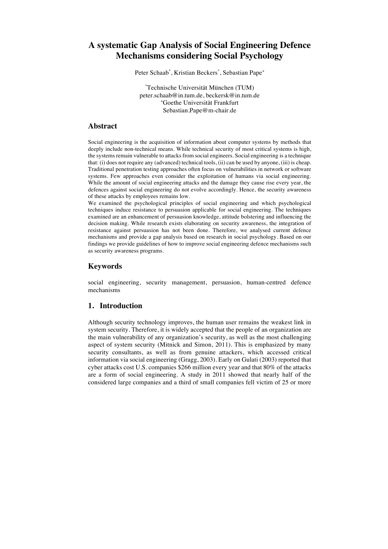# **A systematic Gap Analysis of Social Engineering Defence Mechanisms considering Social Psychology**

Peter Schaab\*, Kristian Beckers\*, Sebastian Pape+

\* Technische Universität München (TUM) peter.schaab@in.tum.de, beckersk@in.tum.de + Goethe Universität Frankfurt Sebastian.Pape@m-chair.de

#### **Abstract**

Social engineering is the acquisition of information about computer systems by methods that deeply include non-technical means. While technical security of most critical systems is high, the systems remain vulnerable to attacks from social engineers. Social engineering is a technique that: (i) does not require any (advanced) technical tools, (ii) can be used by anyone, (iii) is cheap. Traditional penetration testing approaches often focus on vulnerabilities in network or software systems. Few approaches even consider the exploitation of humans via social engineering. While the amount of social engineering attacks and the damage they cause rise every year, the defences against social engineering do not evolve accordingly. Hence, the security awareness of these attacks by employees remains low.

We examined the psychological principles of social engineering and which psychological techniques induce resistance to persuasion applicable for social engineering. The techniques examined are an enhancement of persuasion knowledge, attitude bolstering and influencing the decision making. While research exists elaborating on security awareness, the integration of resistance against persuasion has not been done. Therefore, we analysed current defence mechanisms and provide a gap analysis based on research in social psychology. Based on our findings we provide guidelines of how to improve social engineering defence mechanisms such as security awareness programs.

### **Keywords**

social engineering, security management, persuasion, human-centred defence mechanisms

### **1. Introduction**

Although security technology improves, the human user remains the weakest link in system security. Therefore, it is widely accepted that the people of an organization are the main vulnerability of any organization's security, as well as the most challenging aspect of system security (Mitnick and Simon, 2011). This is emphasized by many security consultants, as well as from genuine attackers, which accessed critical information via social engineering (Gragg, 2003). Early on Gulati (2003) reported that cyber attacks cost U.S. companies \$266 million every year and that 80% of the attacks are a form of social engineering. A study in 2011 showed that nearly half of the considered large companies and a third of small companies fell victim of 25 or more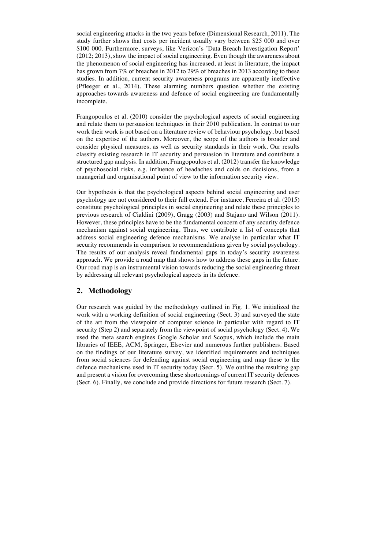social engineering attacks in the two years before (Dimensional Research, 2011). The study further shows that costs per incident usually vary between \$25 000 and over \$100 000. Furthermore, surveys, like Verizon's 'Data Breach Investigation Report' (2012; 2013), show the impact of social engineering. Even though the awareness about the phenomenon of social engineering has increased, at least in literature, the impact has grown from 7% of breaches in 2012 to 29% of breaches in 2013 according to these studies. In addition, current security awareness programs are apparently ineffective (Pfleeger et al., 2014). These alarming numbers question whether the existing approaches towards awareness and defence of social engineering are fundamentally incomplete.

Frangopoulos et al. (2010) consider the psychological aspects of social engineering and relate them to persuasion techniques in their 2010 publication. In contrast to our work their work is not based on a literature review of behaviour psychology, but based on the expertise of the authors. Moreover, the scope of the authors is broader and consider physical measures, as well as security standards in their work. Our results classify existing research in IT security and persuasion in literature and contribute a structured gap analysis. In addition, Frangopoulos et al. (2012) transfer the knowledge of psychosocial risks, e.g. influence of headaches and colds on decisions, from a managerial and organisational point of view to the information security view.

Our hypothesis is that the psychological aspects behind social engineering and user psychology are not considered to their full extend. For instance, Ferreira et al. (2015) constitute psychological principles in social engineering and relate these principles to previous research of Cialdini (2009), Gragg (2003) and Stajano and Wilson (2011). However, these principles have to be the fundamental concern of any security defence mechanism against social engineering. Thus, we contribute a list of concepts that address social engineering defence mechanisms. We analyse in particular what IT security recommends in comparison to recommendations given by social psychology. The results of our analysis reveal fundamental gaps in today's security awareness approach. We provide a road map that shows how to address these gaps in the future. Our road map is an instrumental vision towards reducing the social engineering threat by addressing all relevant psychological aspects in its defence.

#### **2. Methodology**

Our research was guided by the methodology outlined in Fig. 1. We initialized the work with a working definition of social engineering (Sect. 3) and surveyed the state of the art from the viewpoint of computer science in particular with regard to IT security (Step 2) and separately from the viewpoint of social psychology (Sect. 4). We used the meta search engines Google Scholar and Scopus, which include the main libraries of IEEE, ACM, Springer, Elsevier and numerous further publishers. Based on the findings of our literature survey, we identified requirements and techniques from social sciences for defending against social engineering and map these to the defence mechanisms used in IT security today (Sect. 5). We outline the resulting gap and present a vision for overcoming these shortcomings of current IT security defences (Sect. 6). Finally, we conclude and provide directions for future research (Sect. 7).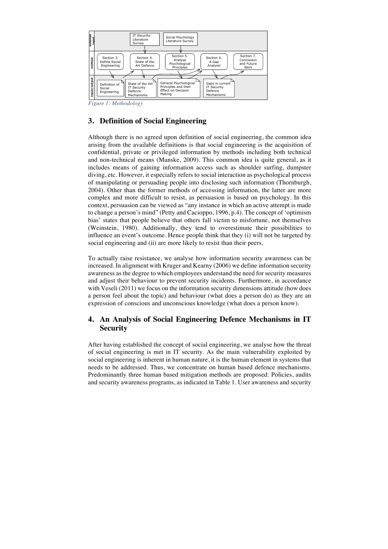

**3. Definition of Social Engineering** 

Although there is no agreed upon definition of social engineering, the common idea arising from the available definitions is that social engineering is the acquisition of confidential, private or privileged information by methods including both technical and non-technical means (Manske, 2009). This common idea is quite general, as it includes means of gaining information access such as shoulder surfing, dumpster diving, etc. However, it especially refers to social interaction as psychological process of manipulating or persuading people into disclosing such information (Thornburgh, 2004). Other than the former methods of accessing information, the latter are more complex and more difficult to resist, as persuasion is based on psychology. In this context, persuasion can be viewed as "any instance in which an active attempt is made to change a person's mind" (Petty and Cacioppo, 1996, p.4). The concept of 'optimism bias' states that people believe that others fall victim to misfortune, not themselves (Weinstein, 1980). Additionally, they tend to overestimate their possibilities to influence an event's outcome. Hence people think that they (i) will not be targeted by social engineering and (ii) are more likely to resist than their peers. **Example 1.** In the security and security and security and security are the security and security are the security and security are the security and security are the security and security and security and security and sec

To actually raise resistance, we analyse how information security awareness can be increased. In alignment with Kruger and Kearny (2006) we define information security awareness as the degree to which employees understand the need for security measures and adjust their behaviour to prevent security incidents. Furthermore, in accordance with Veseli (2011) we focus on the information security dimensions attitude (how does a person feel about the topic) and behaviour (what does a person do) as they are an expression of conscious and unconscious knowledge (what does a person know).

# **4. An Analysis of Social Engineering Defence Mechanisms in IT Security**

After having established the concept of social engineering, we analyse how the threat of social engineering is met in IT security. As the main vulnerability exploited by social engineering is inherent in human nature, it is the human element in systems that needs to be addressed. Thus, we concentrate on human based defence mechanisms. Predominantly three human based mitigation methods are proposed: Policies, audits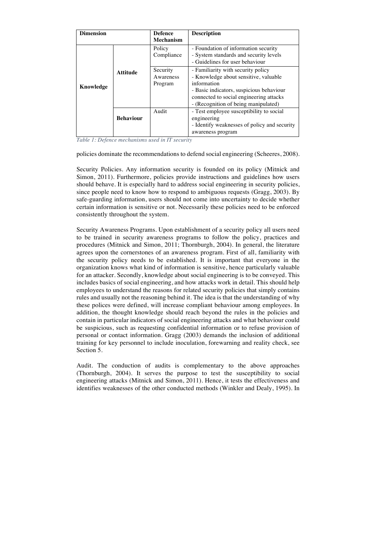| <b>Dimension</b> |                  | <b>Defence</b><br><b>Mechanism</b> | <b>Description</b>                                                                                                                                                                                                        |
|------------------|------------------|------------------------------------|---------------------------------------------------------------------------------------------------------------------------------------------------------------------------------------------------------------------------|
|                  |                  | Policy<br>Compliance               | - Foundation of information security<br>- System standards and security levels<br>- Guidelines for user behaviour                                                                                                         |
| Knowledge        | Attitude         | Security<br>Awareness<br>Program   | - Familiarity with security policy<br>- Knowledge about sensitive, valuable<br>information<br>- Basic indicators, suspicious behaviour<br>connected to social engineering attacks<br>- (Recognition of being manipulated) |
|                  | <b>Behaviour</b> | Audit                              | - Test employee susceptibility to social<br>engineering<br>- Identify weaknesses of policy and security<br>awareness program                                                                                              |

*Table 1: Defence mechanisms used in IT security*

policies dominate the recommendations to defend social engineering (Scheeres, 2008).

Security Policies. Any information security is founded on its policy (Mitnick and Simon, 2011). Furthermore, policies provide instructions and guidelines how users should behave. It is especially hard to address social engineering in security policies, since people need to know how to respond to ambiguous requests (Gragg, 2003). By safe-guarding information, users should not come into uncertainty to decide whether certain information is sensitive or not. Necessarily these policies need to be enforced consistently throughout the system.

Security Awareness Programs. Upon establishment of a security policy all users need to be trained in security awareness programs to follow the policy, practices and procedures (Mitnick and Simon, 2011; Thornburgh, 2004). In general, the literature agrees upon the cornerstones of an awareness program. First of all, familiarity with the security policy needs to be established. It is important that everyone in the organization knows what kind of information is sensitive, hence particularly valuable for an attacker. Secondly, knowledge about social engineering is to be conveyed. This includes basics of social engineering, and how attacks work in detail. This should help employees to understand the reasons for related security policies that simply contains rules and usually not the reasoning behind it. The idea is that the understanding of why these polices were defined, will increase compliant behaviour among employees. In addition, the thought knowledge should reach beyond the rules in the policies and contain in particular indicators of social engineering attacks and what behaviour could be suspicious, such as requesting confidential information or to refuse provision of personal or contact information. Gragg (2003) demands the inclusion of additional training for key personnel to include inoculation, forewarning and reality check, see Section 5.

Audit. The conduction of audits is complementary to the above approaches (Thornburgh, 2004). It serves the purpose to test the susceptibility to social engineering attacks (Mitnick and Simon, 2011). Hence, it tests the effectiveness and identifies weaknesses of the other conducted methods (Winkler and Dealy, 1995). In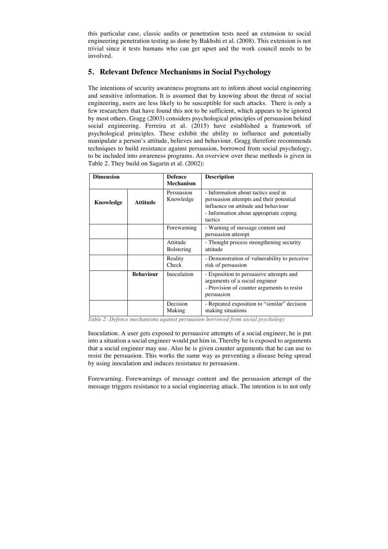this particular case, classic audits or penetration tests need an extension to social engineering penetration testing as done by Bakhshi et al. (2008). This extension is not trivial since it tests humans who can get upset and the work council needs to be involved.

# **5. Relevant Defence Mechanisms in Social Psychology**

The intentions of security awareness programs are to inform about social engineering and sensitive information. It is assumed that by knowing about the threat of social engineering, users are less likely to be susceptible for such attacks. There is only a few researchers that have found this not to be sufficient, which appears to be ignored by most others. Gragg (2003) considers psychological principles of persuasion behind social engineering. Ferreira et al. (2015) have established a framework of psychological principles. These exhibit the ability to influence and potentially manipulate a person's attitude, believes and behaviour. Gragg therefore recommends techniques to build resistance against persuasion, borrowed from social psychology, to be included into awareness programs. An overview over these methods is given in Table 2. They build on Sagarin et al. (2002):

| <b>Dimension</b> |                  | <b>Defence</b><br><b>Mechanism</b> | <b>Description</b>                                                                                                                                                         |
|------------------|------------------|------------------------------------|----------------------------------------------------------------------------------------------------------------------------------------------------------------------------|
| Knowledge        | Attitude         | Persuasion<br>Knowledge            | - Information about tactics used in<br>persuasion attempts and their potential<br>influence on attitude and behaviour<br>- Information about appropriate coping<br>tactics |
|                  |                  | Forewarning                        | - Warning of message content and<br>persuasion attempt                                                                                                                     |
|                  |                  | Attitude<br><b>Bolstering</b>      | - Thought process strengthening security<br>attitude                                                                                                                       |
|                  |                  | Reality<br>Check                   | - Demonstration of vulnerability to perceive<br>risk of persuasion                                                                                                         |
|                  | <b>Behaviour</b> | Inoculation                        | - Exposition to persuasive attempts and<br>arguments of a social engineer<br>- Provision of counter arguments to resist<br>persuasion                                      |
|                  |                  | Decision<br>Making                 | - Repeated exposition to "similar" decision<br>making situations                                                                                                           |

*Table 2: Defence mechanisms against persuasion borrowed from social psychology*

Inoculation. A user gets exposed to persuasive attempts of a social engineer, he is put into a situation a social engineer would put him in. Thereby he is exposed to arguments that a social engineer may use. Also he is given counter arguments that he can use to resist the persuasion. This works the same way as preventing a disease being spread by using inoculation and induces resistance to persuasion.

Forewarning. Forewarnings of message content and the persuasion attempt of the message triggers resistance to a social engineering attack. The intention is to not only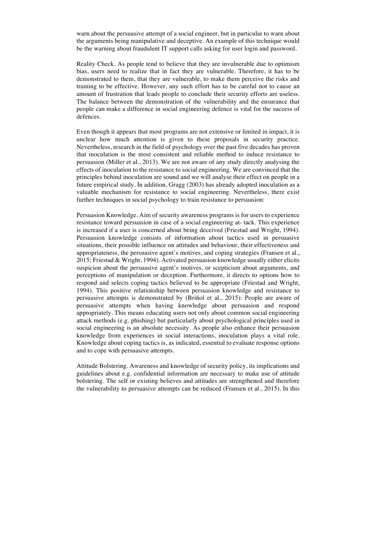warn about the persuasive attempt of a social engineer, but in particular to warn about the arguments being manipulative and deceptive. An example of this technique would be the warning about fraudulent IT support calls asking for user login and password.

Reality Check. As people tend to believe that they are invulnerable due to optimism bias, users need to realize that in fact they are vulnerable. Therefore, it has to be demonstrated to them, that they are vulnerable, to make them perceive the risks and training to be effective. However, any such effort has to be careful not to cause an amount of frustration that leads people to conclude their security efforts are useless. The balance between the demonstration of the vulnerability and the ensurance that people can make a difference in social engineering defence is vital for the success of defences.

Even though it appears that most programs are not extensive or limited in impact, it is unclear how much attention is given to these proposals in security practice. Nevertheless, research in the field of psychology over the past five decades has proven that inoculation is the most consistent and reliable method to induce resistance to persuasion (Miller et al., 2013). We are not aware of any study directly analysing the effects of inoculation to the resistance to social engineering. We are convinced that the principles behind inoculation are sound and we will analyse their effect on people in a future empirical study. In addition, Gragg (2003) has already adopted inoculation as a valuable mechanism for resistance to social engineering. Nevertheless, there exist further techniques in social psychology to train resistance to persuasion:

Persuasion Knowledge. Aim of security awareness programs is for users to experience resistance toward persuasion in case of a social engineering at- tack. This experience is increased if a user is concerned about being deceived (Friestad and Wright, 1994). Persuasion knowledge consists of information about tactics used in persuasive situations, their possible influence on attitudes and behaviour, their effectiveness and appropriateness, the persuasive agent's motives, and coping strategies (Fransen et al., 2015; Friestad & Wright, 1994). Activated persuasion knowledge usually either elicits suspicion about the persuasive agent's motives, or scepticism about arguments, and perceptions of manipulation or deception. Furthermore, it directs to options how to respond and selects coping tactics believed to be appropriate (Friestad and Wright, 1994). This positive relationship between persuasion knowledge and resistance to persuasive attempts is demonstrated by (Briñol et al., 2015): People are aware of persuasive attempts when having knowledge about persuasion and respond appropriately. This means educating users not only about common social engineering attack methods (e.g. phishing) but particularly about psychological principles used in social engineering is an absolute necessity. As people also enhance their persuasion knowledge from experiences in social interactions, inoculation plays a vital role. Knowledge about coping tactics is, as indicated, essential to evaluate response options and to cope with persuasive attempts.

Attitude Bolstering. Awareness and knowledge of security policy, its implications and guidelines about e.g. confidential information are necessary to make use of attitude bolstering. The self or existing believes and attitudes are strengthened and therefore the vulnerability to persuasive attempts can be reduced (Fransen et al., 2015). In this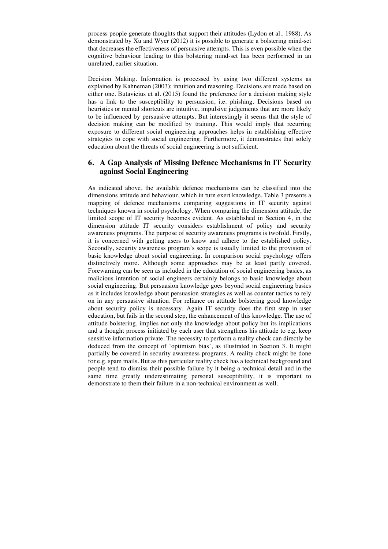process people generate thoughts that support their attitudes (Lydon et al., 1988). As demonstrated by Xu and Wyer (2012) it is possible to generate a bolstering mind-set that decreases the effectiveness of persuasive attempts. This is even possible when the cognitive behaviour leading to this bolstering mind-set has been performed in an unrelated, earlier situation.

Decision Making. Information is processed by using two different systems as explained by Kahneman (2003): intuition and reasoning. Decisions are made based on either one. Butavicius et al. (2015) found the preference for a decision making style has a link to the susceptibility to persuasion, i.e. phishing. Decisions based on heuristics or mental shortcuts are intuitive, impulsive judgements that are more likely to be influenced by persuasive attempts. But interestingly it seems that the style of decision making can be modified by training. This would imply that recurring exposure to different social engineering approaches helps in establishing effective strategies to cope with social engineering. Furthermore, it demonstrates that solely education about the threats of social engineering is not sufficient.

# **6. A Gap Analysis of Missing Defence Mechanisms in IT Security against Social Engineering**

As indicated above, the available defence mechanisms can be classified into the dimensions attitude and behaviour, which in turn exert knowledge. Table 3 presents a mapping of defence mechanisms comparing suggestions in IT security against techniques known in social psychology. When comparing the dimension attitude, the limited scope of IT security becomes evident. As established in Section 4, in the dimension attitude IT security considers establishment of policy and security awareness programs. The purpose of security awareness programs is twofold. Firstly, it is concerned with getting users to know and adhere to the established policy. Secondly, security awareness program's scope is usually limited to the provision of basic knowledge about social engineering. In comparison social psychology offers distinctively more. Although some approaches may be at least partly covered. Forewarning can be seen as included in the education of social engineering basics, as malicious intention of social engineers certainly belongs to basic knowledge about social engineering. But persuasion knowledge goes beyond social engineering basics as it includes knowledge about persuasion strategies as well as counter tactics to rely on in any persuasive situation. For reliance on attitude bolstering good knowledge about security policy is necessary. Again IT security does the first step in user education, but fails in the second step, the enhancement of this knowledge. The use of attitude bolstering, implies not only the knowledge about policy but its implications and a thought process initiated by each user that strengthens his attitude to e.g. keep sensitive information private. The necessity to perform a reality check can directly be deduced from the concept of 'optimism bias', as illustrated in Section 3. It might partially be covered in security awareness programs. A reality check might be done for e.g. spam mails. But as this particular reality check has a technical background and people tend to dismiss their possible failure by it being a technical detail and in the same time greatly underestimating personal susceptibility, it is important to demonstrate to them their failure in a non-technical environment as well.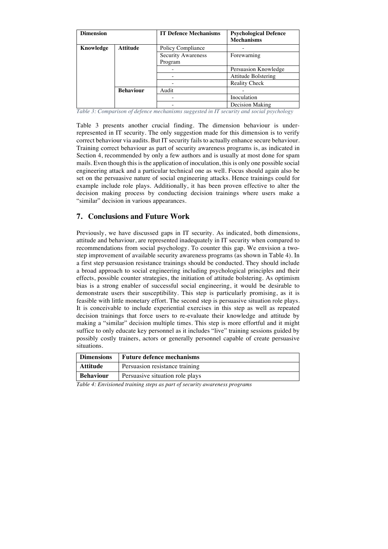| <b>Dimension</b>      |                  | <b>IT Defence Mechanisms</b> | <b>Psychological Defence</b><br><b>Mechanisms</b> |
|-----------------------|------------------|------------------------------|---------------------------------------------------|
| Attitude<br>Knowledge |                  | Policy Compliance            |                                                   |
|                       |                  | <b>Security Awareness</b>    | Forewarning                                       |
|                       |                  | Program                      |                                                   |
|                       |                  |                              | Persuasion Knowledge                              |
|                       |                  |                              | <b>Attitude Bolstering</b>                        |
|                       |                  |                              | <b>Reality Check</b>                              |
|                       | <b>Behaviour</b> | Audit                        |                                                   |
|                       |                  |                              | Inoculation                                       |
|                       |                  |                              | Decision Making                                   |

*Table 3: Comparison of defence mechanisms suggested in IT security and social psychology*

Table 3 presents another crucial finding. The dimension behaviour is underrepresented in IT security. The only suggestion made for this dimension is to verify correct behaviour via audits. But IT security fails to actually enhance secure behaviour. Training correct behaviour as part of security awareness programs is, as indicated in Section 4, recommended by only a few authors and is usually at most done for spam mails. Even though this is the application of inoculation, this is only one possible social engineering attack and a particular technical one as well. Focus should again also be set on the persuasive nature of social engineering attacks. Hence trainings could for example include role plays. Additionally, it has been proven effective to alter the decision making process by conducting decision trainings where users make a "similar" decision in various appearances.

### **7. Conclusions and Future Work**

Previously, we have discussed gaps in IT security. As indicated, both dimensions, attitude and behaviour, are represented inadequately in IT security when compared to recommendations from social psychology. To counter this gap. We envision a twostep improvement of available security awareness programs (as shown in Table 4). In a first step persuasion resistance trainings should be conducted. They should include a broad approach to social engineering including psychological principles and their effects, possible counter strategies, the initiation of attitude bolstering. As optimism bias is a strong enabler of successful social engineering, it would be desirable to demonstrate users their susceptibility. This step is particularly promising, as it is feasible with little monetary effort. The second step is persuasive situation role plays. It is conceivable to include experiential exercises in this step as well as repeated decision trainings that force users to re-evaluate their knowledge and attitude by making a "similar" decision multiple times. This step is more effortful and it might suffice to only educate key personnel as it includes "live" training sessions guided by possibly costly trainers, actors or generally personnel capable of create persuasive situations.

| <b>Dimensions</b> | <b>Future defence mechanisms</b> |  |  |
|-------------------|----------------------------------|--|--|
| Attitude          | Persuasion resistance training   |  |  |
| <b>Behaviour</b>  | Persuasive situation role plays  |  |  |

*Table 4: Envisioned training steps as part of security awareness programs*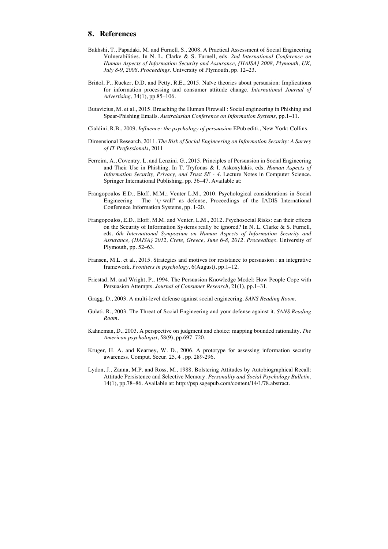#### **8. References**

- Bakhshi, T., Papadaki, M. and Furnell, S., 2008. A Practical Assessment of Social Engineering Vulnerabilities. In N. L. Clarke & S. Furnell, eds. *2nd International Conference on Human Aspects of Information Security and Assurance, {HAISA} 2008, Plymouth, UK, July 8-9, 2008. Proceedings*. University of Plymouth, pp. 12–23.
- Briñol, P., Rucker, D.D. and Petty, R.E., 2015. Naïve theories about persuasion: Implications for information processing and consumer attitude change. *International Journal of Advertising*, 34(1), pp.85–106.
- Butavicius, M. et al., 2015. Breaching the Human Firewall : Social engineering in Phishing and Spear-Phishing Emails. *Australasian Conference on Information Systems*, pp.1–11.
- Cialdini, R.B., 2009. *Influence: the psychology of persuasion* EPub editi., New York: Collins.
- Dimensional Research, 2011. *The Risk of Social Engineering on Information Security: A Survey of IT Professionals*, 2011
- Ferreira, A., Coventry, L. and Lenzini, G., 2015. Principles of Persuasion in Social Engineering and Their Use in Phishing. In T. Tryfonas & I. Askoxylakis, eds. *Human Aspects of Information Security, Privacy, and Trust SE - 4*. Lecture Notes in Computer Science. Springer International Publishing, pp. 36–47. Available at:
- Frangopoulos E.D.; Eloff, M.M.; Venter L.M., 2010. Psychological considerations in Social Engineering - The "ψ-wall" as defense, Proceedings of the IADIS International Conference Information Systems, pp. 1-20.
- Frangopoulos, E.D., Eloff, M.M. and Venter, L.M., 2012. Psychosocial Risks: can their effects on the Security of Information Systems really be ignored? In N. L. Clarke & S. Furnell, eds. *6th International Symposium on Human Aspects of Information Security and Assurance, {HAISA} 2012, Crete, Greece, June 6-8, 2012. Proceedings*. University of Plymouth, pp. 52–63.
- Fransen, M.L. et al., 2015. Strategies and motives for resistance to persuasion : an integrative framework. *Frontiers in psychology*, 6(August), pp.1–12.
- Friestad, M. and Wright, P., 1994. The Persuasion Knowledge Model: How People Cope with Persuasion Attempts. *Journal of Consumer Research*, 21(1), pp.1–31.
- Gragg, D., 2003. A multi-level defense against social engineering. *SANS Reading Room*.
- Gulati, R., 2003. The Threat of Social Engineering and your defense against it. *SANS Reading Room*.
- Kahneman, D., 2003. A perspective on judgment and choice: mapping bounded rationality. *The American psychologist*, 58(9), pp.697–720.
- Kruger, H. A. and Kearney, W. D., 2006. A prototype for assessing information security awareness. Comput. Secur. 25, 4 , pp. 289-296.
- Lydon, J., Zanna, M.P. and Ross, M., 1988. Bolstering Attitudes by Autobiographical Recall: Attitude Persistence and Selective Memory. *Personality and Social Psychology Bulletin*, 14(1), pp.78–86. Available at: http://psp.sagepub.com/content/14/1/78.abstract.